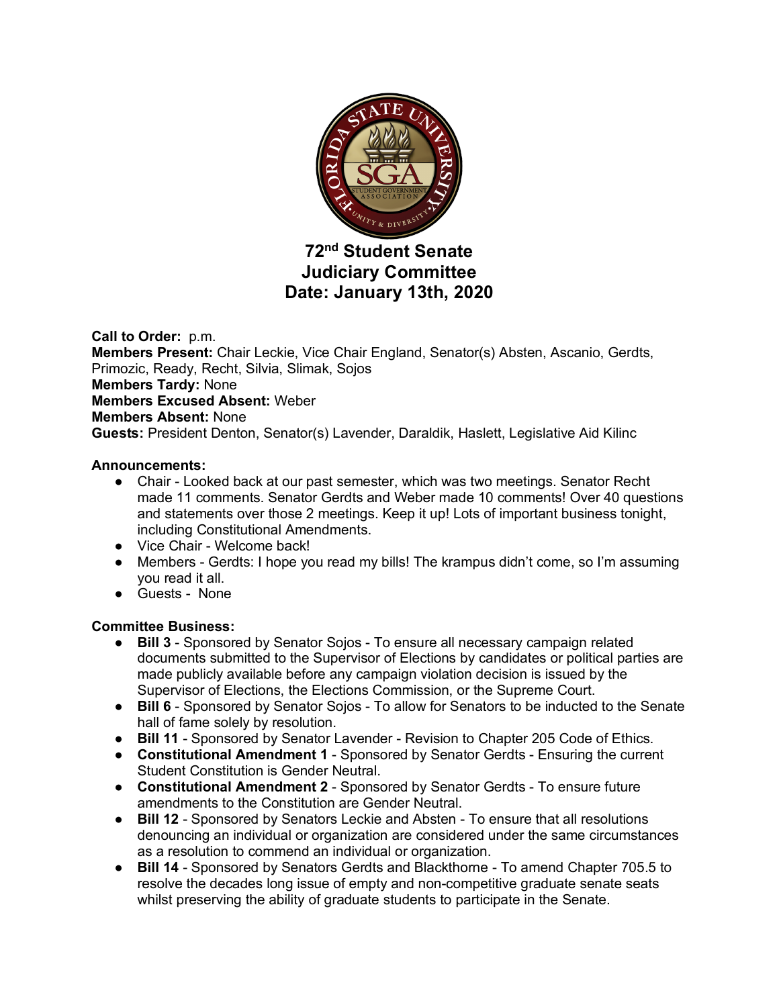

# **72nd Student Senate Judiciary Committee Date: January 13th, 2020**

**Call to Order:** p.m. **Members Present:** Chair Leckie, Vice Chair England, Senator(s) Absten, Ascanio, Gerdts, Primozic, Ready, Recht, Silvia, Slimak, Sojos **Members Tardy:** None **Members Excused Absent:** Weber **Members Absent:** None **Guests:** President Denton, Senator(s) Lavender, Daraldik, Haslett, Legislative Aid Kilinc

### **Announcements:**

- Chair Looked back at our past semester, which was two meetings. Senator Recht made 11 comments. Senator Gerdts and Weber made 10 comments! Over 40 questions and statements over those 2 meetings. Keep it up! Lots of important business tonight, including Constitutional Amendments.
- Vice Chair Welcome back!
- Members Gerdts: I hope you read my bills! The krampus didn't come, so I'm assuming you read it all.
- Guests None

## **Committee Business:**

- **Bill 3** Sponsored by Senator Sojos To ensure all necessary campaign related documents submitted to the Supervisor of Elections by candidates or political parties are made publicly available before any campaign violation decision is issued by the Supervisor of Elections, the Elections Commission, or the Supreme Court.
- **Bill 6** Sponsored by Senator Sojos To allow for Senators to be inducted to the Senate hall of fame solely by resolution.
- **Bill 11** Sponsored by Senator Lavender Revision to Chapter 205 Code of Ethics.
- **Constitutional Amendment 1** Sponsored by Senator Gerdts Ensuring the current Student Constitution is Gender Neutral.
- **Constitutional Amendment 2** Sponsored by Senator Gerdts To ensure future amendments to the Constitution are Gender Neutral.
- **Bill 12** Sponsored by Senators Leckie and Absten To ensure that all resolutions denouncing an individual or organization are considered under the same circumstances as a resolution to commend an individual or organization.
- **Bill 14** Sponsored by Senators Gerdts and Blackthorne To amend Chapter 705.5 to resolve the decades long issue of empty and non-competitive graduate senate seats whilst preserving the ability of graduate students to participate in the Senate.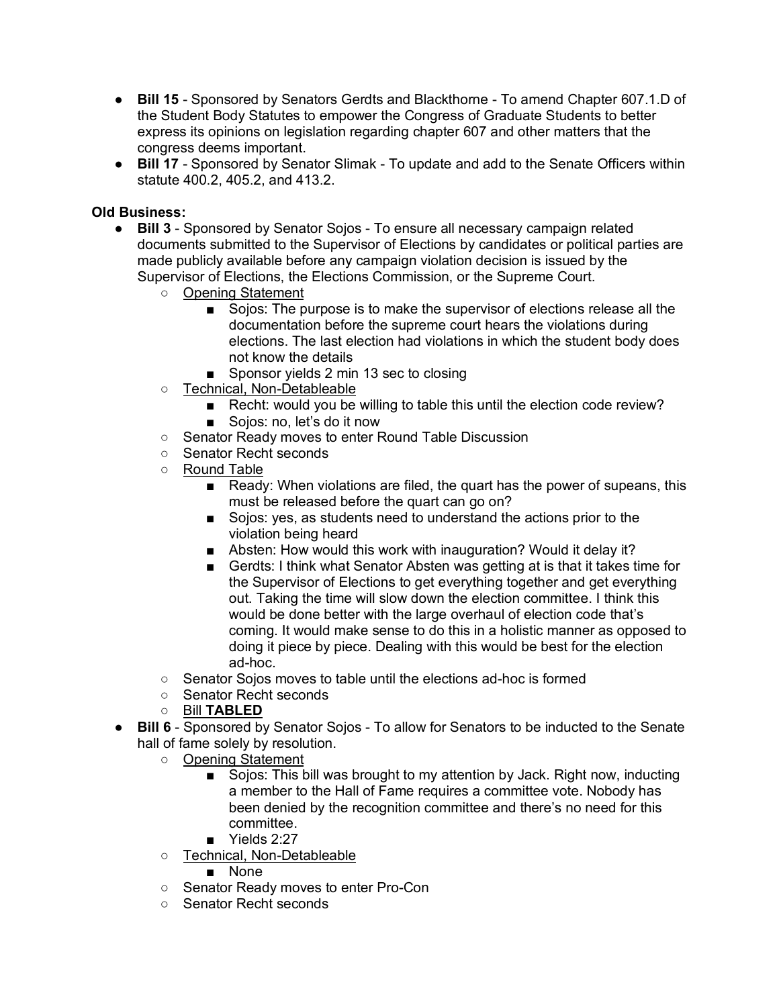- **Bill 15** Sponsored by Senators Gerdts and Blackthorne To amend Chapter 607.1.D of the Student Body Statutes to empower the Congress of Graduate Students to better express its opinions on legislation regarding chapter 607 and other matters that the congress deems important.
- **Bill 17** Sponsored by Senator Slimak To update and add to the Senate Officers within statute 400.2, 405.2, and 413.2.

#### **Old Business:**

- **Bill 3** Sponsored by Senator Sojos To ensure all necessary campaign related documents submitted to the Supervisor of Elections by candidates or political parties are made publicly available before any campaign violation decision is issued by the Supervisor of Elections, the Elections Commission, or the Supreme Court.
	- Opening Statement
		- Sojos: The purpose is to make the supervisor of elections release all the documentation before the supreme court hears the violations during elections. The last election had violations in which the student body does not know the details
		- Sponsor yields 2 min 13 sec to closing
	- Technical, Non-Detableable
		- Recht: would you be willing to table this until the election code review? ■ Sojos: no, let's do it now
	- Senator Ready moves to enter Round Table Discussion
	- Senator Recht seconds
	- Round Table
		- Ready: When violations are filed, the quart has the power of supeans, this must be released before the quart can go on?
		- Sojos: yes, as students need to understand the actions prior to the violation being heard
		- Absten: How would this work with inauguration? Would it delay it?
		- Gerdts: I think what Senator Absten was getting at is that it takes time for the Supervisor of Elections to get everything together and get everything out. Taking the time will slow down the election committee. I think this would be done better with the large overhaul of election code that's coming. It would make sense to do this in a holistic manner as opposed to doing it piece by piece. Dealing with this would be best for the election ad-hoc.
	- Senator Sojos moves to table until the elections ad-hoc is formed
	- Senator Recht seconds
	- Bill **TABLED**
- **Bill 6** Sponsored by Senator Sojos To allow for Senators to be inducted to the Senate hall of fame solely by resolution.
	- Opening Statement
		- Sojos: This bill was brought to my attention by Jack. Right now, inducting a member to the Hall of Fame requires a committee vote. Nobody has been denied by the recognition committee and there's no need for this committee.
		- Yields 2:27
	- Technical, Non-Detableable
		- None
	- Senator Ready moves to enter Pro-Con
	- Senator Recht seconds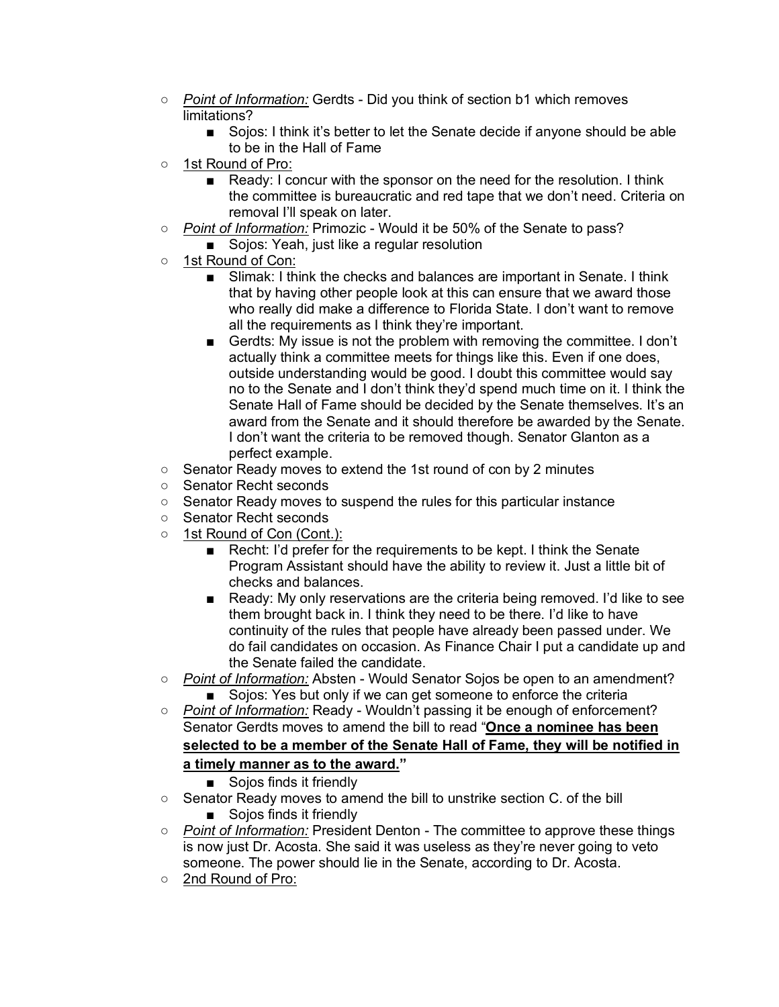- *Point of Information:* Gerdts Did you think of section b1 which removes limitations?
	- Sojos: I think it's better to let the Senate decide if anyone should be able to be in the Hall of Fame
- 1st Round of Pro:
	- Ready: I concur with the sponsor on the need for the resolution. I think the committee is bureaucratic and red tape that we don't need. Criteria on removal I'll speak on later.
- *Point of Information:* Primozic Would it be 50% of the Senate to pass?
	- Sojos: Yeah, just like a regular resolution
- 1st Round of Con:
	- Slimak: I think the checks and balances are important in Senate. I think that by having other people look at this can ensure that we award those who really did make a difference to Florida State. I don't want to remove all the requirements as I think they're important.
	- Gerdts: My issue is not the problem with removing the committee. I don't actually think a committee meets for things like this. Even if one does, outside understanding would be good. I doubt this committee would say no to the Senate and I don't think they'd spend much time on it. I think the Senate Hall of Fame should be decided by the Senate themselves. It's an award from the Senate and it should therefore be awarded by the Senate. I don't want the criteria to be removed though. Senator Glanton as a perfect example.
- Senator Ready moves to extend the 1st round of con by 2 minutes
- Senator Recht seconds
- Senator Ready moves to suspend the rules for this particular instance
- Senator Recht seconds
- 1st Round of Con (Cont.):
	- Recht: I'd prefer for the requirements to be kept. I think the Senate Program Assistant should have the ability to review it. Just a little bit of checks and balances.
	- Ready: My only reservations are the criteria being removed. I'd like to see them brought back in. I think they need to be there. I'd like to have continuity of the rules that people have already been passed under. We do fail candidates on occasion. As Finance Chair I put a candidate up and the Senate failed the candidate.
- *Point of Information:* Absten Would Senator Sojos be open to an amendment? ■ Sojos: Yes but only if we can get someone to enforce the criteria
- *Point of Information:* Ready Wouldn't passing it be enough of enforcement? Senator Gerdts moves to amend the bill to read "**Once a nominee has been selected to be a member of the Senate Hall of Fame, they will be notified in a timely manner as to the award."**
	- Sojos finds it friendly
- Senator Ready moves to amend the bill to unstrike section C. of the bill ■ Sojos finds it friendly
- *Point of Information:* President Denton The committee to approve these things is now just Dr. Acosta. She said it was useless as they're never going to veto someone. The power should lie in the Senate, according to Dr. Acosta.
- 2nd Round of Pro: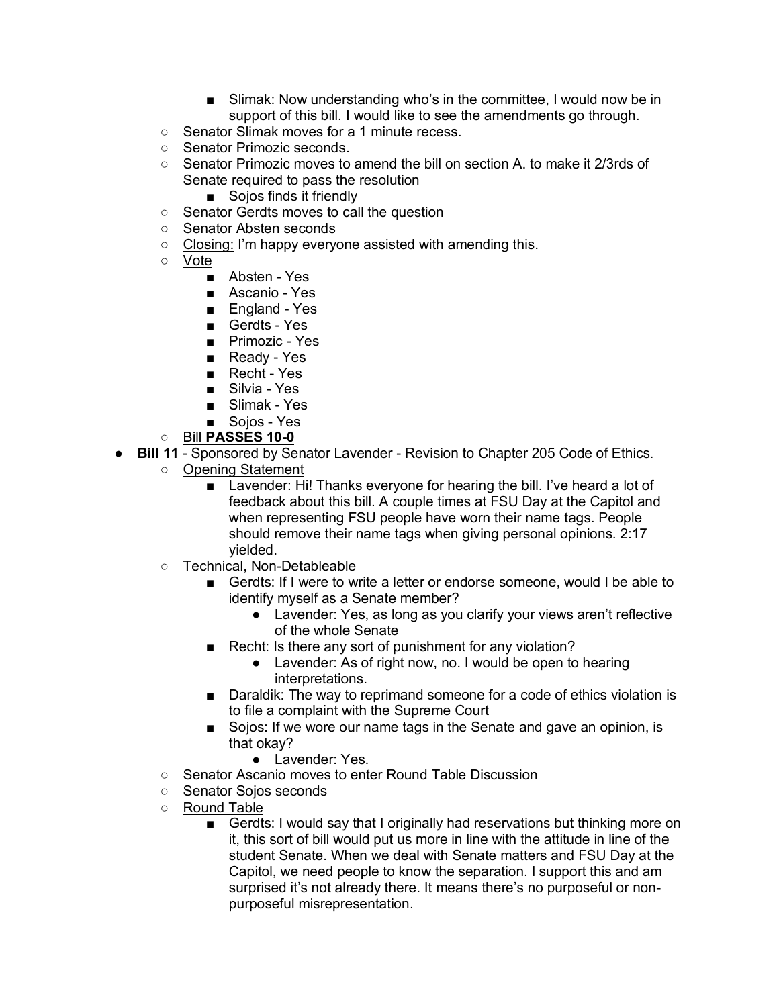- Slimak: Now understanding who's in the committee, I would now be in support of this bill. I would like to see the amendments go through.
- Senator Slimak moves for a 1 minute recess.
- Senator Primozic seconds.
- Senator Primozic moves to amend the bill on section A, to make it 2/3rds of Senate required to pass the resolution
	- Sojos finds it friendly
- Senator Gerdts moves to call the question
- Senator Absten seconds
- Closing: I'm happy everyone assisted with amending this.
- Vote
	- Absten Yes
	- Ascanio Yes
	- England Yes
	- Gerdts Yes
	- Primozic Yes
	- Ready Yes
	- Recht Yes
	- Silvia Yes
	- Slimak Yes
	- Soios Yes
- Bill **PASSES 10-0**
- **Bill 11** Sponsored by Senator Lavender Revision to Chapter 205 Code of Ethics.
	- Opening Statement
		- Lavender: Hi! Thanks everyone for hearing the bill. I've heard a lot of feedback about this bill. A couple times at FSU Day at the Capitol and when representing FSU people have worn their name tags. People should remove their name tags when giving personal opinions. 2:17 yielded.
	- Technical, Non-Detableable
		- Gerdts: If I were to write a letter or endorse someone, would I be able to identify myself as a Senate member?
			- Lavender: Yes, as long as you clarify your views aren't reflective of the whole Senate
		- Recht: Is there any sort of punishment for any violation?
			- Lavender: As of right now, no. I would be open to hearing interpretations.
		- Daraldik: The way to reprimand someone for a code of ethics violation is to file a complaint with the Supreme Court
		- Sojos: If we wore our name tags in the Senate and gave an opinion, is that okay?
			- Lavender: Yes.
	- Senator Ascanio moves to enter Round Table Discussion
	- Senator Sojos seconds
	- Round Table
		- Gerdts: I would say that I originally had reservations but thinking more on it, this sort of bill would put us more in line with the attitude in line of the student Senate. When we deal with Senate matters and FSU Day at the Capitol, we need people to know the separation. I support this and am surprised it's not already there. It means there's no purposeful or nonpurposeful misrepresentation.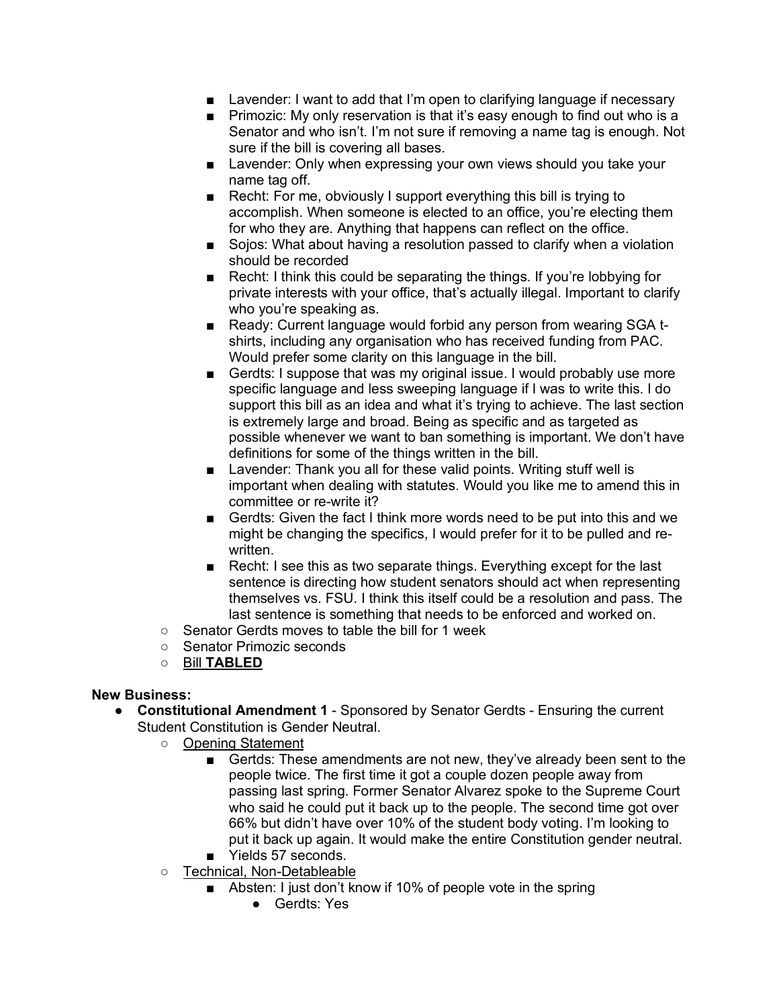- Lavender: I want to add that I'm open to clarifying language if necessary
- Primozic: My only reservation is that it's easy enough to find out who is a Senator and who isn't. I'm not sure if removing a name tag is enough. Not sure if the bill is covering all bases.
- Lavender: Only when expressing your own views should you take your name tag off.
- Recht: For me, obviously I support everything this bill is trying to accomplish. When someone is elected to an office, you're electing them for who they are. Anything that happens can reflect on the office.
- Sojos: What about having a resolution passed to clarify when a violation should be recorded
- Recht: I think this could be separating the things. If you're lobbying for private interests with your office, that's actually illegal. Important to clarify who you're speaking as.
- Ready: Current language would forbid any person from wearing SGA tshirts, including any organisation who has received funding from PAC. Would prefer some clarity on this language in the bill.
- Gerdts: I suppose that was my original issue. I would probably use more specific language and less sweeping language if I was to write this. I do support this bill as an idea and what it's trying to achieve. The last section is extremely large and broad. Being as specific and as targeted as possible whenever we want to ban something is important. We don't have definitions for some of the things written in the bill.
- Lavender: Thank you all for these valid points. Writing stuff well is important when dealing with statutes. Would you like me to amend this in committee or re-write it?
- Gerdts: Given the fact I think more words need to be put into this and we might be changing the specifics, I would prefer for it to be pulled and rewritten.
- Recht: I see this as two separate things. Everything except for the last sentence is directing how student senators should act when representing themselves vs. FSU. I think this itself could be a resolution and pass. The last sentence is something that needs to be enforced and worked on.
- Senator Gerdts moves to table the bill for 1 week
- Senator Primozic seconds
- Bill **TABLED**

#### **New Business:**

- **Constitutional Amendment 1** Sponsored by Senator Gerdts Ensuring the current Student Constitution is Gender Neutral.
	- Opening Statement
		- Gertds: These amendments are not new, they've already been sent to the people twice. The first time it got a couple dozen people away from passing last spring. Former Senator Alvarez spoke to the Supreme Court who said he could put it back up to the people. The second time got over 66% but didn't have over 10% of the student body voting. I'm looking to put it back up again. It would make the entire Constitution gender neutral. ■ Yields 57 seconds.
		-
	- Technical, Non-Detableable
		- Absten: I just don't know if 10% of people vote in the spring
			- Gerdts: Yes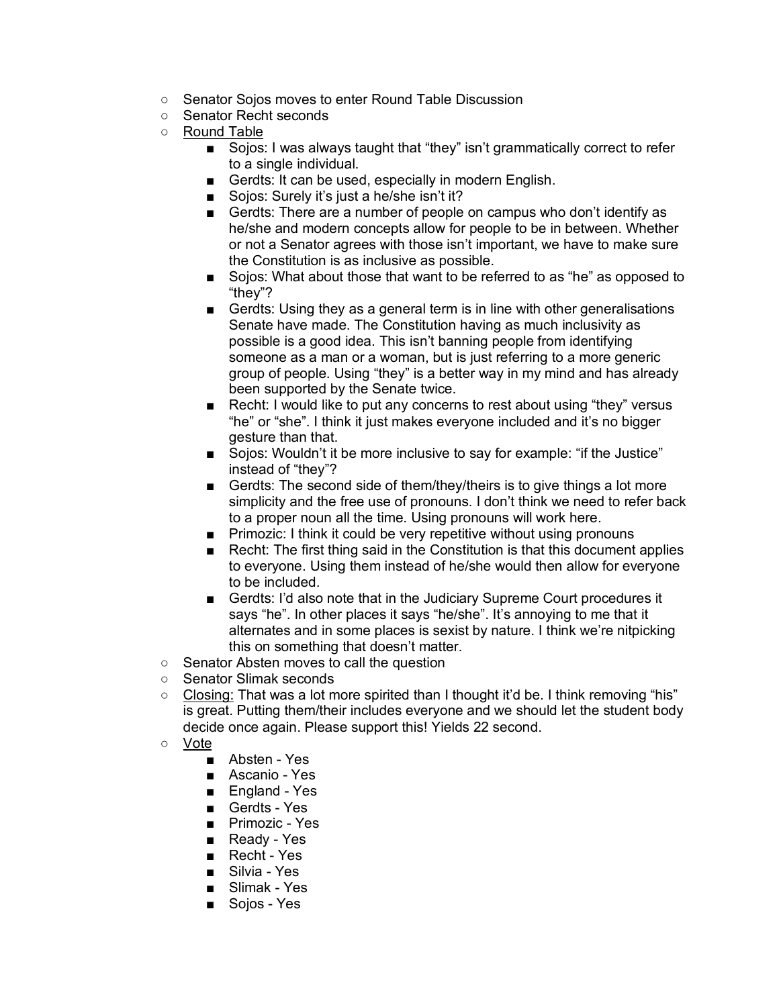- Senator Sojos moves to enter Round Table Discussion
- Senator Recht seconds
- Round Table
	- Sojos: I was always taught that "they" isn't grammatically correct to refer to a single individual.
	- Gerdts: It can be used, especially in modern English.
	- Sojos: Surely it's just a he/she isn't it?
	- Gerdts: There are a number of people on campus who don't identify as he/she and modern concepts allow for people to be in between. Whether or not a Senator agrees with those isn't important, we have to make sure the Constitution is as inclusive as possible.
	- Sojos: What about those that want to be referred to as "he" as opposed to "they"?
	- Gerdts: Using they as a general term is in line with other generalisations Senate have made. The Constitution having as much inclusivity as possible is a good idea. This isn't banning people from identifying someone as a man or a woman, but is just referring to a more generic group of people. Using "they" is a better way in my mind and has already been supported by the Senate twice.
	- Recht: I would like to put any concerns to rest about using "they" versus "he" or "she". I think it just makes everyone included and it's no bigger gesture than that.
	- Sojos: Wouldn't it be more inclusive to say for example: "if the Justice" instead of "they"?
	- Gerdts: The second side of them/they/theirs is to give things a lot more simplicity and the free use of pronouns. I don't think we need to refer back to a proper noun all the time. Using pronouns will work here.
	- Primozic: I think it could be very repetitive without using pronouns
	- Recht: The first thing said in the Constitution is that this document applies to everyone. Using them instead of he/she would then allow for everyone to be included.
	- Gerdts: I'd also note that in the Judiciary Supreme Court procedures it says "he". In other places it says "he/she". It's annoying to me that it alternates and in some places is sexist by nature. I think we're nitpicking this on something that doesn't matter.
- Senator Absten moves to call the question
- Senator Slimak seconds
- $\circ$  Closing: That was a lot more spirited than I thought it'd be. I think removing "his" is great. Putting them/their includes everyone and we should let the student body decide once again. Please support this! Yields 22 second.
- Vote
	- Absten Yes
	- Ascanio Yes
	- England Yes
	- Gerdts Yes
	- Primozic Yes
	- Ready Yes
	- Recht Yes
	- Silvia Yes
	- Slimak Yes
	- Sojos Yes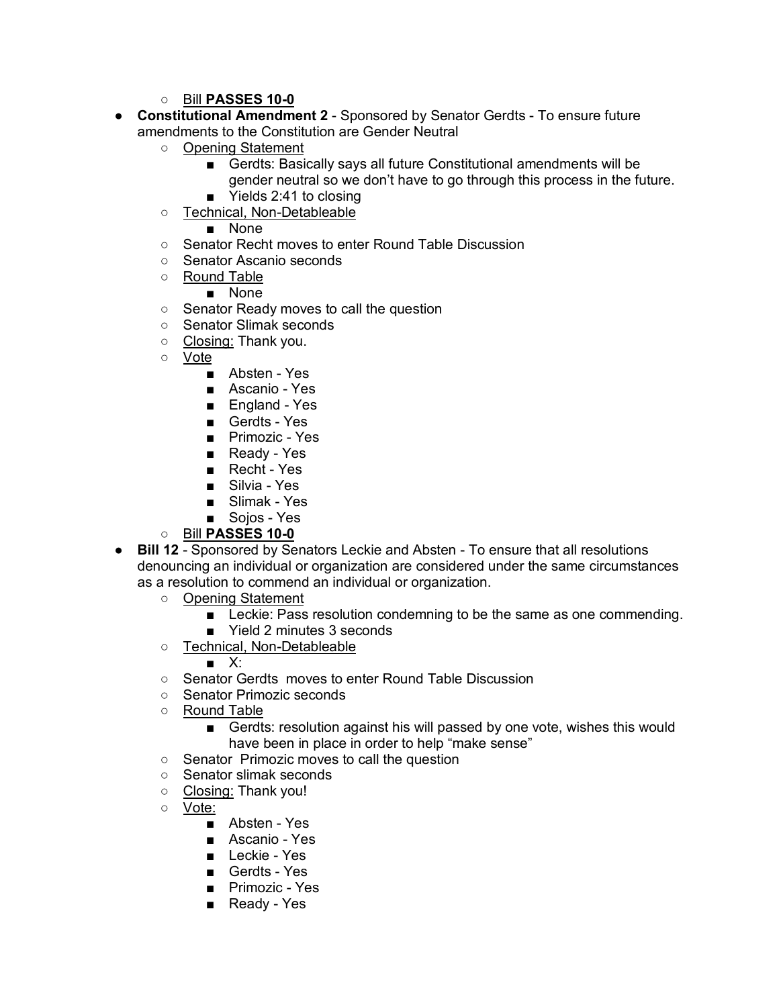- Bill **PASSES 10-0**
- **Constitutional Amendment 2** Sponsored by Senator Gerdts To ensure future amendments to the Constitution are Gender Neutral
	- Opening Statement
		- Gerdts: Basically says all future Constitutional amendments will be gender neutral so we don't have to go through this process in the future.
		- Yields 2:41 to closing
	- Technical, Non-Detableable

■ None

- Senator Recht moves to enter Round Table Discussion
- Senator Ascanio seconds
- Round Table

■ None

- Senator Ready moves to call the question
- Senator Slimak seconds
- Closing: Thank you.
- Vote
	- Absten Yes
	- Ascanio Yes
	- England Yes
	- Gerdts Yes
	- Primozic Yes
	- Ready Yes
	- Recht Yes
	- Silvia Yes
	- Slimak Yes
	- Sojos Yes
- Bill **PASSES 10-0**
- **Bill 12** Sponsored by Senators Leckie and Absten To ensure that all resolutions denouncing an individual or organization are considered under the same circumstances as a resolution to commend an individual or organization.
	- Opening Statement
		- Leckie: Pass resolution condemning to be the same as one commending.
		- Yield 2 minutes 3 seconds
	- Technical, Non-Detableable

■ X:

- Senator Gerdts moves to enter Round Table Discussion
- Senator Primozic seconds
- Round Table
	- Gerdts: resolution against his will passed by one vote, wishes this would have been in place in order to help "make sense"
- Senator Primozic moves to call the question
- Senator slimak seconds
- Closing: Thank you!
- Vote:
	- Absten Yes
	- Ascanio Yes
	- Leckie Yes
	- Gerdts Yes
	- Primozic Yes
	- Ready Yes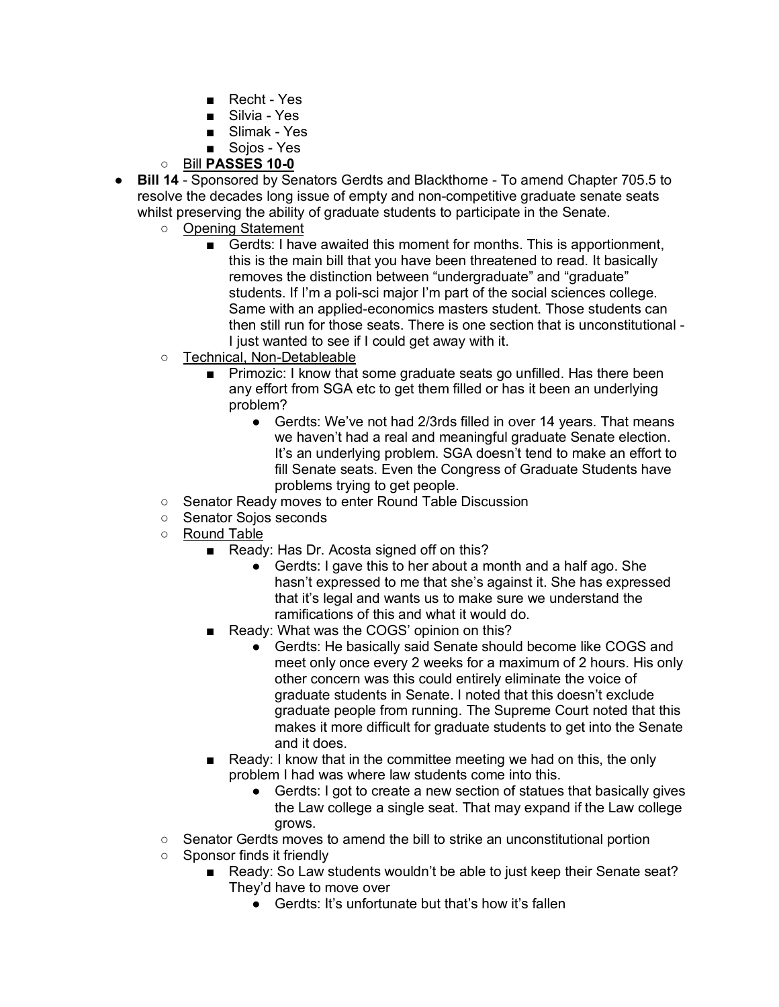- Recht Yes
- Silvia Yes
- Slimak Yes
- Soios Yes
- Bill **PASSES 10-0**
- **Bill 14** Sponsored by Senators Gerdts and Blackthorne To amend Chapter 705.5 to resolve the decades long issue of empty and non-competitive graduate senate seats whilst preserving the ability of graduate students to participate in the Senate.
	- Opening Statement
		- Gerdts: I have awaited this moment for months. This is apportionment, this is the main bill that you have been threatened to read. It basically removes the distinction between "undergraduate" and "graduate" students. If I'm a poli-sci major I'm part of the social sciences college. Same with an applied-economics masters student. Those students can then still run for those seats. There is one section that is unconstitutional - I just wanted to see if I could get away with it.
	- Technical, Non-Detableable
		- Primozic: I know that some graduate seats go unfilled. Has there been any effort from SGA etc to get them filled or has it been an underlying problem?
			- Gerdts: We've not had 2/3rds filled in over 14 years. That means we haven't had a real and meaningful graduate Senate election. It's an underlying problem. SGA doesn't tend to make an effort to fill Senate seats. Even the Congress of Graduate Students have problems trying to get people.
	- Senator Ready moves to enter Round Table Discussion
	- Senator Sojos seconds
	- Round Table
		- Ready: Has Dr. Acosta signed off on this?
			- Gerdts: I gave this to her about a month and a half ago. She hasn't expressed to me that she's against it. She has expressed that it's legal and wants us to make sure we understand the ramifications of this and what it would do.
		- Ready: What was the COGS' opinion on this?
			- Gerdts: He basically said Senate should become like COGS and meet only once every 2 weeks for a maximum of 2 hours. His only other concern was this could entirely eliminate the voice of graduate students in Senate. I noted that this doesn't exclude graduate people from running. The Supreme Court noted that this makes it more difficult for graduate students to get into the Senate and it does.
		- Ready: I know that in the committee meeting we had on this, the only problem I had was where law students come into this.
			- Gerdts: I got to create a new section of statues that basically gives the Law college a single seat. That may expand if the Law college grows.
	- Senator Gerdts moves to amend the bill to strike an unconstitutional portion
	- Sponsor finds it friendly
		- Ready: So Law students wouldn't be able to just keep their Senate seat? They'd have to move over
			- Gerdts: It's unfortunate but that's how it's fallen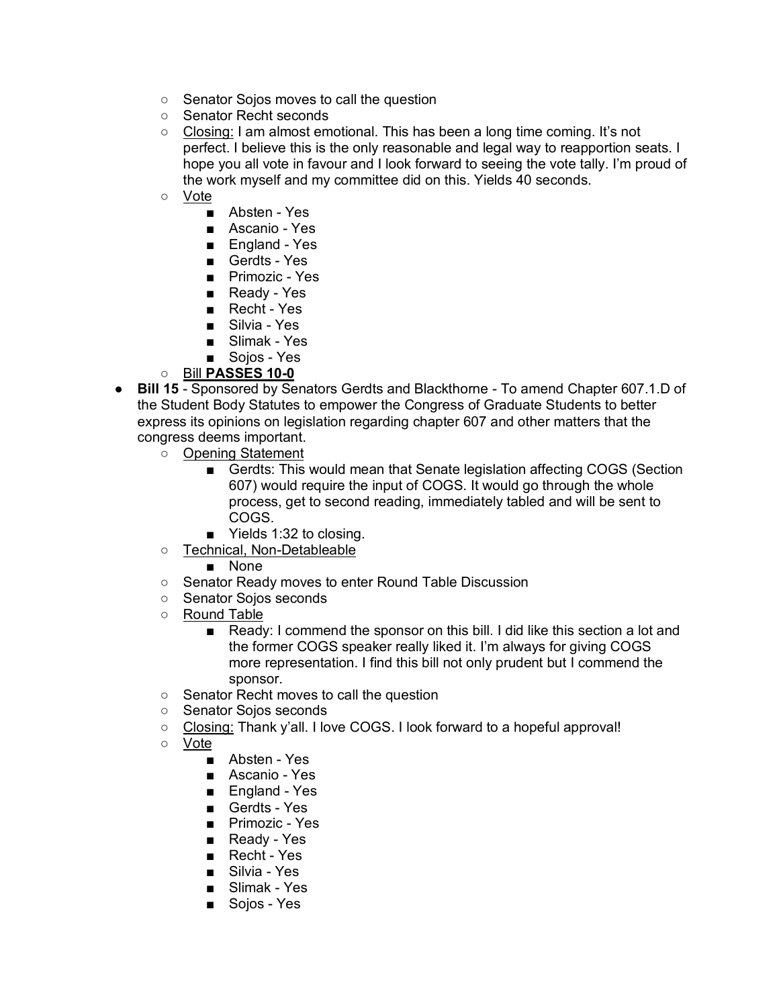- Senator Sojos moves to call the question
- Senator Recht seconds
- Closing: I am almost emotional. This has been a long time coming. It's not perfect. I believe this is the only reasonable and legal way to reapportion seats. I hope you all vote in favour and I look forward to seeing the vote tally. I'm proud of the work myself and my committee did on this. Yields 40 seconds.
- Vote
	- Absten Yes
	- Ascanio Yes
	- England Yes
	- Gerdts Yes
	- Primozic Yes
	- Ready Yes
	- Recht Yes
	- Silvia Yes
	- Slimak Yes
	- Sojos Yes

#### ○ Bill **PASSES 10-0**

- **Bill 15** Sponsored by Senators Gerdts and Blackthorne To amend Chapter 607.1.D of the Student Body Statutes to empower the Congress of Graduate Students to better express its opinions on legislation regarding chapter 607 and other matters that the congress deems important.
	- Opening Statement
		- Gerdts: This would mean that Senate legislation affecting COGS (Section 607) would require the input of COGS. It would go through the whole process, get to second reading, immediately tabled and will be sent to COGS.
		- Yields 1:32 to closing.
	- Technical, Non-Detableable

#### ■ None

- Senator Ready moves to enter Round Table Discussion
- Senator Sojos seconds
- Round Table
	- Ready: I commend the sponsor on this bill. I did like this section a lot and the former COGS speaker really liked it. I'm always for giving COGS more representation. I find this bill not only prudent but I commend the sponsor.
- Senator Recht moves to call the question
- Senator Sojos seconds
- Closing: Thank y'all. I love COGS. I look forward to a hopeful approval!
- Vote
	- Absten Yes
	- Ascanio Yes
	- England Yes
	- Gerdts Yes
	- Primozic Yes
	- Ready Yes
	- Recht Yes
	- Silvia Yes
	- Slimak Yes
	- Sojos Yes